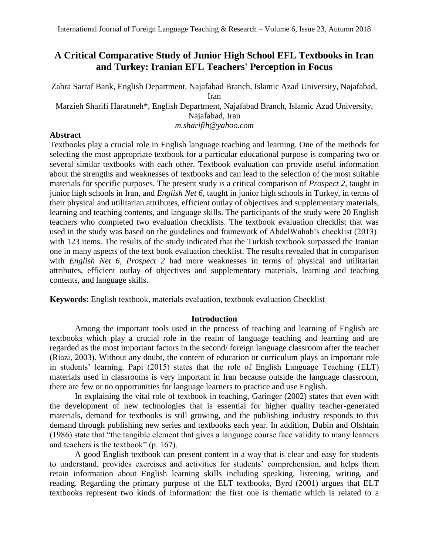# **A Critical Comparative Study of Junior High School EFL Textbooks in Iran and Turkey: Iranian EFL Teachers' Perception in Focus**

Zahra Sarraf Bank, English Department, Najafabad Branch, Islamic Azad University, Najafabad, Iran

Marzieh Sharifi Haratmeh\*, English Department, Najafabad Branch, Islamic Azad University,

Najafabad, Iran

*m.sharifih@yahoo.com*

## **Abstract**

Textbooks play a crucial role in English language teaching and learning. One of the methods for selecting the most appropriate textbook for a particular educational purpose is comparing two or several similar textbooks with each other. Textbook evaluation can provide useful information about the strengths and weaknesses of textbooks and can lead to the selection of the most suitable materials for specific purposes. The present study is a critical comparison of *Prospect 2*, taught in junior high schools in Iran, and *English Net 6,* taught in junior high schools in Turkey, in terms of their physical and utilitarian attributes, efficient outlay of objectives and supplementary materials, learning and teaching contents, and language skills. The participants of the study were 20 English teachers who completed two evaluation checklists. The textbook evaluation checklist that was used in the study was based on the guidelines and framework of AbdelWahab's checklist (2013) with 123 items. The results of the study indicated that the Turkish textbook surpassed the Iranian one in many aspects of the text book evaluation checklist. The results revealed that in comparison with *English Net 6, Prospect 2* had more weaknesses in terms of physical and utilitarian attributes, efficient outlay of objectives and supplementary materials, learning and teaching contents, and language skills.

**Keywords:** English textbook, materials evaluation, textbook evaluation Checklist

## **Introduction**

Among the important tools used in the process of teaching and learning of English are textbooks which play a crucial role in the realm of language teaching and learning and are regarded as the most important factors in the second/ foreign language classroom after the teacher (Riazi, 2003). Without any doubt, the content of education or curriculum plays an important role in students' learning. Papi (2015) states that the role of English Language Teaching (ELT) materials used in classrooms is very important in Iran because outside the language classroom, there are few or no opportunities for language learners to practice and use English.

In explaining the vital role of textbook in teaching, Garinger (2002) states that even with the development of new technologies that is essential for higher quality teacher-generated materials, demand for textbooks is still growing, and the publishing industry responds to this demand through publishing new series and textbooks each year. In addition, Dubin and Olshtain (1986) state that "the tangible element that gives a language course face validity to many learners and teachers is the textbook" (p. 167).

A good English textbook can present content in a way that is clear and easy for students to understand, provides exercises and activities for students' comprehension, and helps them retain information about English learning skills including speaking, listening, writing, and reading. Regarding the primary purpose of the ELT textbooks, Byrd (2001) argues that ELT textbooks represent two kinds of information: the first one is thematic which is related to a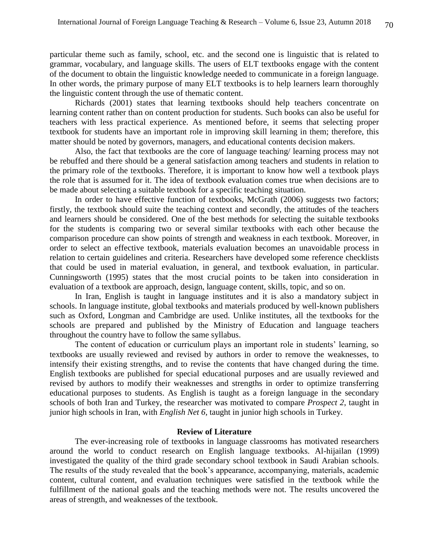particular theme such as family, school, etc. and the second one is linguistic that is related to grammar, vocabulary, and language skills. The users of ELT textbooks engage with the content of the document to obtain the linguistic knowledge needed to communicate in a foreign language. In other words, the primary purpose of many ELT textbooks is to help learners learn thoroughly the linguistic content through the use of thematic content.

Richards (2001) states that learning textbooks should help teachers concentrate on learning content rather than on content production for students. Such books can also be useful for teachers with less practical experience. As mentioned before, it seems that selecting proper textbook for students have an important role in improving skill learning in them; therefore, this matter should be noted by governors, managers, and educational contents decision makers.

Also, the fact that textbooks are the core of language teaching/ learning process may not be rebuffed and there should be a general satisfaction among teachers and students in relation to the primary role of the textbooks. Therefore, it is important to know how well a textbook plays the role that is assumed for it. The idea of textbook evaluation comes true when decisions are to be made about selecting a suitable textbook for a specific teaching situation.

In order to have effective function of textbooks, McGrath (2006) suggests two factors; firstly, the textbook should suite the teaching context and secondly, the attitudes of the teachers and learners should be considered. One of the best methods for selecting the suitable textbooks for the students is comparing two or several similar textbooks with each other because the comparison procedure can show points of strength and weakness in each textbook. Moreover, in order to select an effective textbook, materials evaluation becomes an unavoidable process in relation to certain guidelines and criteria. Researchers have developed some reference checklists that could be used in material evaluation, in general, and textbook evaluation, in particular. Cunningsworth (1995) states that the most crucial points to be taken into consideration in evaluation of a textbook are approach, design, language content, skills, topic, and so on.

In Iran, English is taught in language institutes and it is also a mandatory subject in schools. In language institute, global textbooks and materials produced by well-known publishers such as Oxford, Longman and Cambridge are used. Unlike institutes, all the textbooks for the schools are prepared and published by the Ministry of Education and language teachers throughout the country have to follow the same syllabus.

The content of education or curriculum plays an important role in students' learning, so textbooks are usually reviewed and revised by authors in order to remove the weaknesses, to intensify their existing strengths, and to revise the contents that have changed during the time. English textbooks are published for special educational purposes and are usually reviewed and revised by authors to modify their weaknesses and strengths in order to optimize transferring educational purposes to students. As English is taught as a foreign language in the secondary schools of both Iran and Turkey, the researcher was motivated to compare *Prospect 2*, taught in junior high schools in Iran, with *English Net 6*, taught in junior high schools in Turkey.

### **Review of Literature**

The ever-increasing role of textbooks in language classrooms has motivated researchers around the world to conduct research on English language textbooks. Al-hijailan (1999) investigated the quality of the third grade secondary school textbook in Saudi Arabian schools. The results of the study revealed that the book's appearance, accompanying, materials, academic content, cultural content, and evaluation techniques were satisfied in the textbook while the fulfillment of the national goals and the teaching methods were not. The results uncovered the areas of strength, and weaknesses of the textbook.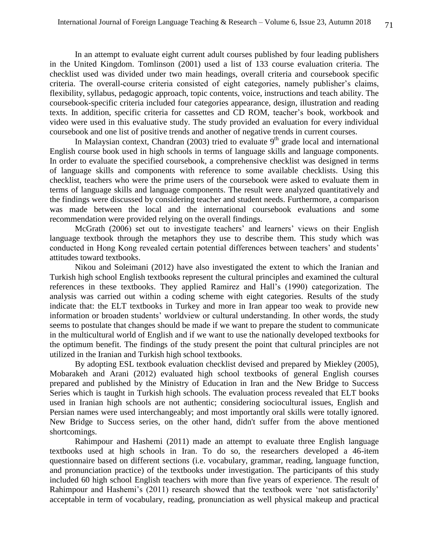In an attempt to evaluate eight current adult courses published by four leading publishers in the United Kingdom. Tomlinson (2001) used a list of 133 course evaluation criteria. The checklist used was divided under two main headings, overall criteria and coursebook specific criteria. The overall-course criteria consisted of eight categories, namely publisher's claims, flexibility, syllabus, pedagogic approach, topic contents, voice, instructions and teach ability. The coursebook-specific criteria included four categories appearance, design, illustration and reading texts. In addition, specific criteria for cassettes and CD ROM, teacher's book, workbook and video were used in this evaluative study. The study provided an evaluation for every individual coursebook and one list of positive trends and another of negative trends in current courses.

In Malaysian context, Chandran (2003) tried to evaluate  $9<sup>th</sup>$  grade local and international English course book used in high schools in terms of language skills and language components. In order to evaluate the specified coursebook, a comprehensive checklist was designed in terms of language skills and components with reference to some available checklists. Using this checklist, teachers who were the prime users of the coursebook were asked to evaluate them in terms of language skills and language components. The result were analyzed quantitatively and the findings were discussed by considering teacher and student needs. Furthermore, a comparison was made between the local and the international coursebook evaluations and some recommendation were provided relying on the overall findings.

McGrath (2006) set out to investigate teachers' and learners' views on their English language textbook through the metaphors they use to describe them. This study which was conducted in Hong Kong revealed certain potential differences between teachers' and students' attitudes toward textbooks.

Nikou and Soleimani (2012) have also investigated the extent to which the Iranian and Turkish high school English textbooks represent the cultural principles and examined the cultural references in these textbooks. They applied Ramirez and Hall's (1990) categorization. The analysis was carried out within a coding scheme with eight categories. Results of the study indicate that: the ELT textbooks in Turkey and more in Iran appear too weak to provide new information or broaden students' worldview or cultural understanding. In other words, the study seems to postulate that changes should be made if we want to prepare the student to communicate in the multicultural world of English and if we want to use the nationally developed textbooks for the optimum benefit. The findings of the study present the point that cultural principles are not utilized in the Iranian and Turkish high school textbooks.

By adopting ESL textbook evaluation checklist devised and prepared by Miekley (2005), Mobarakeh and Arani (2012) evaluated high school textbooks of general English courses prepared and published by the Ministry of Education in Iran and the New Bridge to Success Series which is taught in Turkish high schools. The evaluation process revealed that ELT books used in Iranian high schools are not authentic; considering sociocultural issues, English and Persian names were used interchangeably; and most importantly oral skills were totally ignored. New Bridge to Success series, on the other hand, didn't suffer from the above mentioned shortcomings.

Rahimpour and Hashemi (2011) made an attempt to evaluate three English language textbooks used at high schools in Iran. To do so, the researchers developed a 46-item questionnaire based on different sections (i.e. vocabulary, grammar, reading, language function, and pronunciation practice) of the textbooks under investigation. The participants of this study included 60 high school English teachers with more than five years of experience. The result of Rahimpour and Hashemi's (2011) research showed that the textbook were 'not satisfactorily' acceptable in term of vocabulary, reading, pronunciation as well physical makeup and practical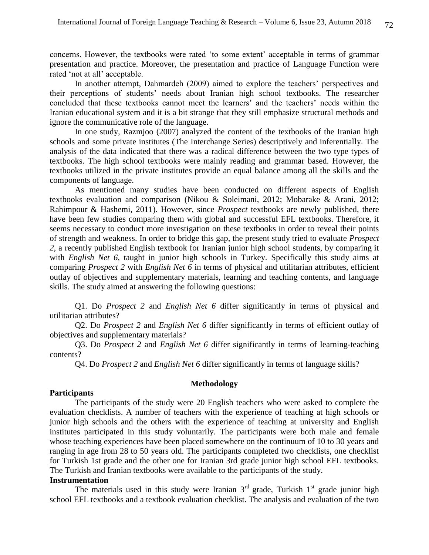concerns. However, the textbooks were rated 'to some extent' acceptable in terms of grammar presentation and practice. Moreover, the presentation and practice of Language Function were rated 'not at all' acceptable.

In another attempt, Dahmardeh (2009) aimed to explore the teachers' perspectives and their perceptions of students' needs about Iranian high school textbooks. The researcher concluded that these textbooks cannot meet the learners' and the teachers' needs within the Iranian educational system and it is a bit strange that they still emphasize structural methods and ignore the communicative role of the language.

In one study, Razmjoo (2007) analyzed the content of the textbooks of the Iranian high schools and some private institutes (The Interchange Series) descriptively and inferentially. The analysis of the data indicated that there was a radical difference between the two type types of textbooks. The high school textbooks were mainly reading and grammar based. However, the textbooks utilized in the private institutes provide an equal balance among all the skills and the components of language.

 As mentioned many studies have been conducted on different aspects of English textbooks evaluation and comparison (Nikou & Soleimani, 2012; Mobarake & Arani, 2012; Rahimpour & Hashemi, 2011). However, since *Prospect* textbooks are newly published, there have been few studies comparing them with global and successful EFL textbooks. Therefore, it seems necessary to conduct more investigation on these textbooks in order to reveal their points of strength and weakness. In order to bridge this gap, the present study tried to evaluate *Prospect 2*, a recently published English textbook for Iranian junior high school students, by comparing it with *English Net* 6, taught in junior high schools in Turkey. Specifically this study aims at comparing *Prospect 2* with *English Net 6* in terms of physical and utilitarian attributes, efficient outlay of objectives and supplementary materials, learning and teaching contents, and language skills. The study aimed at answering the following questions:

Q1. Do *Prospect 2* and *English Net 6* differ significantly in terms of physical and utilitarian attributes?

 Q2. Do *Prospect 2* and *English Net 6* differ significantly in terms of efficient outlay of objectives and supplementary materials?

Q3. Do *Prospect 2* and *English Net 6* differ significantly in terms of learning-teaching contents?

Q4. Do *Prospect 2* and *English Net 6* differ significantly in terms of language skills?

### **Methodology**

# **Participants**

The participants of the study were 20 English teachers who were asked to complete the evaluation checklists. A number of teachers with the experience of teaching at high schools or junior high schools and the others with the experience of teaching at university and English institutes participated in this study voluntarily. The participants were both male and female whose teaching experiences have been placed somewhere on the continuum of 10 to 30 years and ranging in age from 28 to 50 years old. The participants completed two checklists, one checklist for Turkish 1st grade and the other one for Iranian 3rd grade junior high school EFL textbooks. The Turkish and Iranian textbooks were available to the participants of the study.

#### **Instrumentation**

The materials used in this study were Iranian  $3<sup>rd</sup>$  grade, Turkish  $1<sup>st</sup>$  grade junior high school EFL textbooks and a textbook evaluation checklist. The analysis and evaluation of the two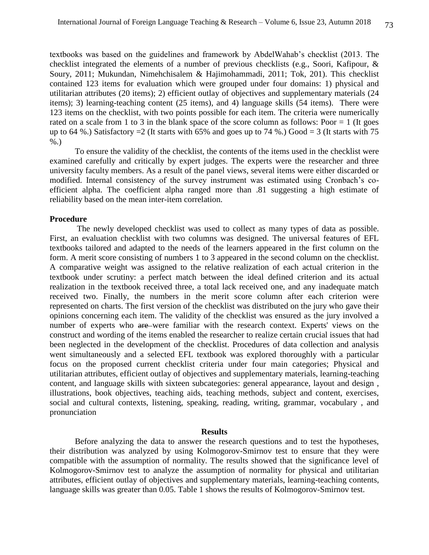textbooks was based on the guidelines and framework by AbdelWahab's checklist (2013. The checklist integrated the elements of a number of previous checklists (e.g., Soori, Kafipour, & Soury, 2011; Mukundan, Nimehchisalem & Hajimohammadi, 2011; Tok, 201). This checklist contained 123 items for evaluation which were grouped under four domains: 1) physical and utilitarian attributes (20 items); 2) efficient outlay of objectives and supplementary materials (24 items); 3) learning-teaching content (25 items), and 4) language skills (54 items). There were 123 items on the checklist, with two points possible for each item. The criteria were numerically rated on a scale from 1 to 3 in the blank space of the score column as follows: Poor  $= 1$  (It goes up to 64 %.) Satisfactory  $=2$  (It starts with 65% and goes up to 74 %.) Good  $=3$  (It starts with 75 %.)

To ensure the validity of the checklist, the contents of the items used in the checklist were examined carefully and critically by expert judges. The experts were the researcher and three university faculty members. As a result of the panel views, several items were either discarded or modified. Internal consistency of the survey instrument was estimated using Cronbach's coefficient alpha. The coefficient alpha ranged more than .81 suggesting a high estimate of reliability based on the mean inter-item correlation.

#### **Procedure**

The newly developed checklist was used to collect as many types of data as possible. First, an evaluation checklist with two columns was designed. The universal features of EFL textbooks tailored and adapted to the needs of the learners appeared in the first column on the form. A merit score consisting of numbers 1 to 3 appeared in the second column on the checklist. A comparative weight was assigned to the relative realization of each actual criterion in the textbook under scrutiny: a perfect match between the ideal defined criterion and its actual realization in the textbook received three, a total lack received one, and any inadequate match received two. Finally, the numbers in the merit score column after each criterion were represented on charts. The first version of the checklist was distributed on the jury who gave their opinions concerning each item. The validity of the checklist was ensured as the jury involved a number of experts who are were familiar with the research context. Experts' views on the construct and wording of the items enabled the researcher to realize certain crucial issues that had been neglected in the development of the checklist. Procedures of data collection and analysis went simultaneously and a selected EFL textbook was explored thoroughly with a particular focus on the proposed current checklist criteria under four main categories; Physical and utilitarian attributes, efficient outlay of objectives and supplementary materials, learning-teaching content, and language skills with sixteen subcategories: general appearance, layout and design , illustrations, book objectives, teaching aids, teaching methods, subject and content, exercises, social and cultural contexts, listening, speaking, reading, writing, grammar, vocabulary , and pronunciation

### **Results**

Before analyzing the data to answer the research questions and to test the hypotheses, their distribution was analyzed by using Kolmogorov-Smirnov test to ensure that they were compatible with the assumption of normality. The results showed that the significance level of Kolmogorov-Smirnov test to analyze the assumption of normality for physical and utilitarian attributes, efficient outlay of objectives and supplementary materials, learning-teaching contents, language skills was greater than 0.05. Table 1 shows the results of Kolmogorov-Smirnov test.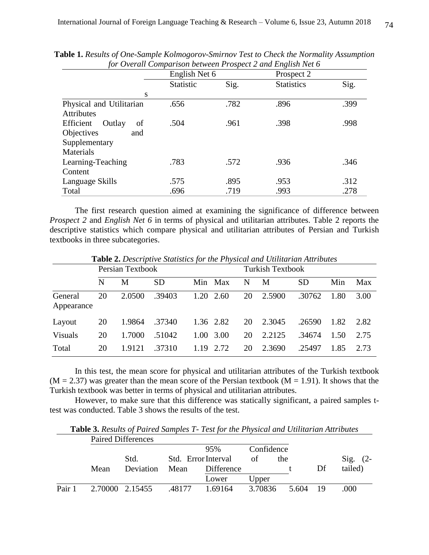|                           | English Net 6    |      | Prospect 2        |      |
|---------------------------|------------------|------|-------------------|------|
|                           | <b>Statistic</b> | Sig. | <b>Statistics</b> | Sig. |
| S                         |                  |      |                   |      |
| Physical and Utilitarian  | .656             | .782 | .896              | .399 |
| <b>Attributes</b>         |                  |      |                   |      |
| Efficient<br>of<br>Outlay | .504             | .961 | .398              | .998 |
| Objectives<br>and         |                  |      |                   |      |
| Supplementary             |                  |      |                   |      |
| Materials                 |                  |      |                   |      |
| Learning-Teaching         | .783             | .572 | .936              | .346 |
| Content                   |                  |      |                   |      |
| Language Skills           | .575             | .895 | .953              | .312 |
| Total                     | .696             | .719 | .993              | .278 |

**Table 1.** *Results of One-Sample Kolmogorov-Smirnov Test to Check the Normality Assumption for Overall Comparison between Prospect 2 and English Net 6*

The first research question aimed at examining the significance of difference between *Prospect 2* and *English Net 6* in terms of physical and utilitarian attributes. Table 2 reports the descriptive statistics which compare physical and utilitarian attributes of Persian and Turkish textbooks in three subcategories.

|                       |    | Persian Textbook |           |      |           |    | <b>Turkish Textbook</b> |           |      |      |  |
|-----------------------|----|------------------|-----------|------|-----------|----|-------------------------|-----------|------|------|--|
|                       | N  | М                | <b>SD</b> |      | Min Max   | N  | M                       | <b>SD</b> | Min  | Max  |  |
| General<br>Appearance | 20 | 2.0500           | .39403    |      | 1.20 2.60 | 20 | 2.5900                  | .30762    | 1.80 | 3.00 |  |
| Layout                | 20 | 1.9864           | .37340    |      | 1.36 2.82 | 20 | 2.3045                  | .26590    | 1.82 | 2.82 |  |
| <b>Visuals</b>        | 20 | 1.7000           | .51042    | 1.00 | 3.00      | 20 | 2.2125                  | .34674    | 1.50 | 2.75 |  |
| Total                 | 20 | 1.9121           | .37310    |      | 1.19 2.72 | 20 | 2.3690                  | .25497    | 1.85 | 2.73 |  |

**Table 2.** *Descriptive Statistics for the Physical and Utilitarian Attributes*

In this test, the mean score for physical and utilitarian attributes of the Turkish textbook  $(M = 2.37)$  was greater than the mean score of the Persian textbook  $(M = 1.91)$ . It shows that the Turkish textbook was better in terms of physical and utilitarian attributes.

However, to make sure that this difference was statically significant, a paired samples ttest was conducted. Table 3 shows the results of the test.

|        |      | <b>Paired Differences</b> |       |                     |            |       |    |                |
|--------|------|---------------------------|-------|---------------------|------------|-------|----|----------------|
|        |      |                           |       | 95%                 | Confidence |       |    |                |
|        |      | Std.                      |       | Std. Error Interval | οf         | the   |    | Sig.<br>$(2 -$ |
|        | Mean | Deviation                 | Mean  | Difference          |            |       | Df | tailed)        |
|        |      |                           |       | Lower               | Upper      |       |    |                |
| Pair 1 |      | 2.70000 2.15455           | 48177 | 1.69164             | 3.70836    | 5.604 | 19 | .000           |

**Table 3.** *Results of Paired Samples T- Test for the Physical and Utilitarian Attributes*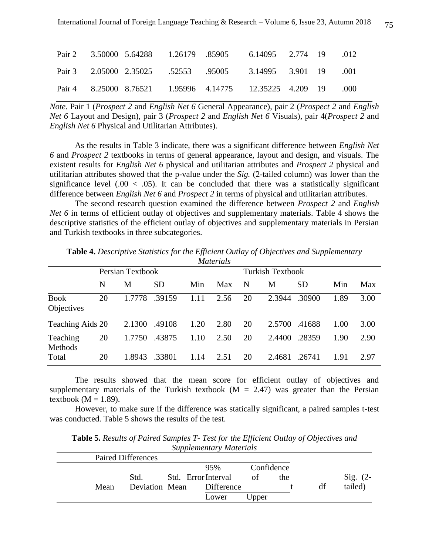|  | Pair 2 3.50000 5.64288 1.26179 .85905 6.14095 2.774 19 .012   |  |  |  |
|--|---------------------------------------------------------------|--|--|--|
|  | Pair 3 2.05000 2.35025 .52553 .95005 3.14995 3.901 19 .001    |  |  |  |
|  | Pair 4 8.25000 8.76521 1.95996 4.14775 12.35225 4.209 19 .000 |  |  |  |

*Note.* Pair 1 (*Prospect 2* and *English Net 6* General Appearance), pair 2 (*Prospect 2* and *English Net 6* Layout and Design), pair 3 (*Prospect 2* and *English Net 6* Visuals), pair 4(*Prospect 2* and *English Net 6* Physical and Utilitarian Attributes).

As the results in Table 3 indicate, there was a significant difference between *English Net 6* and *Prospect 2* textbooks in terms of general appearance, layout and design, and visuals. The existent results for *English Net 6* physical and utilitarian attributes and *Prospect 2* physical and utilitarian attributes showed that the p-value under the *Sig.* (2-tailed column) was lower than the significance level  $(.00 < .05)$ . It can be concluded that there was a statistically significant difference between *English Net 6* and *Prospect 2* in terms of physical and utilitarian attributes.

The second research question examined the difference between *Prospect 2* and *English Net 6* in terms of efficient outlay of objectives and supplementary materials. Table 4 shows the descriptive statistics of the efficient outlay of objectives and supplementary materials in Persian and Turkish textbooks in three subcategories.

|                           |    | Persian Textbook |           |      |      |    | <b>Turkish Textbook</b> |           |      |      |
|---------------------------|----|------------------|-----------|------|------|----|-------------------------|-----------|------|------|
|                           | N  | М                | <b>SD</b> | Min  | Max  | N  | М                       | <b>SD</b> | Min  | Max  |
| <b>Book</b><br>Objectives | 20 | 1.7778           | .39159    | 1.11 | 2.56 | 20 | 2.3944                  | .30900    | 1.89 | 3.00 |
| Teaching Aids 20          |    | 2.1300           | .49108    | 1.20 | 2.80 | 20 | 2.5700                  | .41688    | 1.00 | 3.00 |
| Teaching<br>Methods       | 20 | 1.7750           | .43875    | 1.10 | 2.50 | 20 | 2.4400                  | .28359    | 1.90 | 2.90 |
| Total                     | 20 | 1.8943           | .33801    | 1.14 | 2.51 | 20 | 2.4681                  | .26741    | 1.91 | 2.97 |

**Table 4.** *Descriptive Statistics for the Efficient Outlay of Objectives and Supplementary Materials*

The results showed that the mean score for efficient outlay of objectives and supplementary materials of the Turkish textbook ( $M = 2.47$ ) was greater than the Persian textbook ( $M = 1.89$ ).

However, to make sure if the difference was statically significant, a paired samples t-test was conducted. Table 5 shows the results of the test.

**Table 5.** *Results of Paired Samples T- Test for the Efficient Outlay of Objectives and Supplementary Materials*

| <b>Paired Differences</b> |                     |            |     |    |                   |
|---------------------------|---------------------|------------|-----|----|-------------------|
|                           | 95%                 | Confidence |     |    |                   |
| Std.                      | Std. Error Interval | οf         | the |    | $\text{Sig.}$ (2- |
| Deviation Mean<br>Mean    | Difference          |            |     | df | tailed)           |
|                           | Lower               | Jpper      |     |    |                   |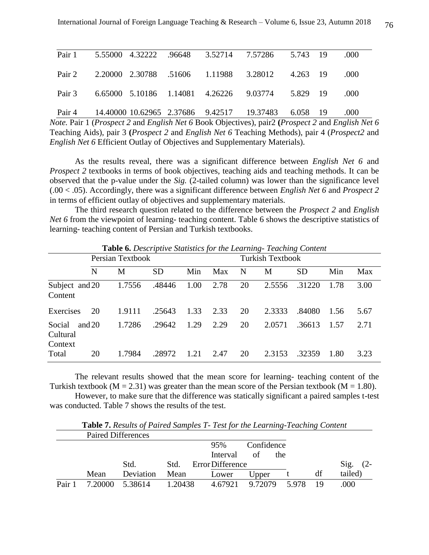|  |  | Pair 1 5.55000 4.32222 .96648 3.52714 7.57286 5.743 19      |  | .000   |
|--|--|-------------------------------------------------------------|--|--------|
|  |  | Pair 2 2.20000 2.30788 .51606 1.11988 3.28012 4.263 19 .000 |  |        |
|  |  | Pair 3 6.65000 5.10186 1.14081 4.26226 9.03774 5.829 19     |  | $-000$ |
|  |  | Pair 4 14.40000 10.62965 2.37686 9.42517 19.37483 6.058 19  |  | .000.  |

*Note.* Pair 1 (*Prospect 2* and *English Net 6* Book Objectives), pair2 **(***Prospect 2* and *English Net 6* Teaching Aids), pair 3 **(***Prospect 2* and *English Net 6* Teaching Methods), pair 4 (*Prospect2* and *English Net 6* Efficient Outlay of Objectives and Supplementary Materials).

As the results reveal, there was a significant difference between *English Net 6* and *Prospect 2* textbooks in terms of book objectives, teaching aids and teaching methods. It can be observed that the p-value under the *Sig.* (2-tailed column) was lower than the significance level (.00 < .05). Accordingly, there was a significant difference between *English Net 6* and *Prospect 2* in terms of efficient outlay of objectives and supplementary materials.

The third research question related to the difference between the *Prospect 2* and *English Net 6* from the viewpoint of learning- teaching content. Table 6 shows the descriptive statistics of learning- teaching content of Persian and Turkish textbooks.

|                               |          | <b>Table 6.</b> Descriptive blansites for the Learning Teaching Content<br>Persian Textbook |           |      |      | <b>Turkish Textbook</b> |        |           |      |      |
|-------------------------------|----------|---------------------------------------------------------------------------------------------|-----------|------|------|-------------------------|--------|-----------|------|------|
|                               | N        | M                                                                                           | <b>SD</b> | Min  | Max  | N                       | M      | <b>SD</b> | Min  | Max  |
| Subject and 20<br>Content     |          | 1.7556                                                                                      | .48446    | 1.00 | 2.78 | 20                      | 2.5556 | .31220    | 1.78 | 3.00 |
| Exercises                     | 20       | 1.9111                                                                                      | .25643    | 1.33 | 2.33 | 20                      | 2.3333 | .84080    | 1.56 | 5.67 |
| Social<br>Cultural<br>Context | and $20$ | 1.7286                                                                                      | .29642    | 1.29 | 2.29 | 20                      | 2.0571 | .36613    | 1.57 | 2.71 |
| Total                         | 20       | 1.7984                                                                                      | .28972    | 1.21 | 2.47 | 20                      | 2.3153 | .32359    | 1.80 | 3.23 |

**Table 6.** *Descriptive Statistics for the Learning- Teaching Content*

The relevant results showed that the mean score for learning- teaching content of the Turkish textbook ( $M = 2.31$ ) was greater than the mean score of the Persian textbook ( $M = 1.80$ ).

However, to make sure that the difference was statically significant a paired samples t-test was conducted. Table 7 shows the results of the test.

|        |      | <b>Paired Differences</b> |         |                  |            |      |    |         |
|--------|------|---------------------------|---------|------------------|------------|------|----|---------|
|        |      |                           |         | 95%              | Confidence |      |    |         |
|        |      |                           |         | Interval         | οf         | the  |    |         |
|        |      | Std.                      | Std.    | Error Difference |            |      |    | Sig.    |
|        | Mean | Deviation                 | Mean    | Lower            | Upper      |      | df | tailed) |
| Pair 1 |      | 5.38614                   | 1.20438 | 4.67921          | 9.72079    | 5978 | 19 | 000     |

**Table 7.** *Results of Paired Samples T- Test for the Learning-Teaching Content*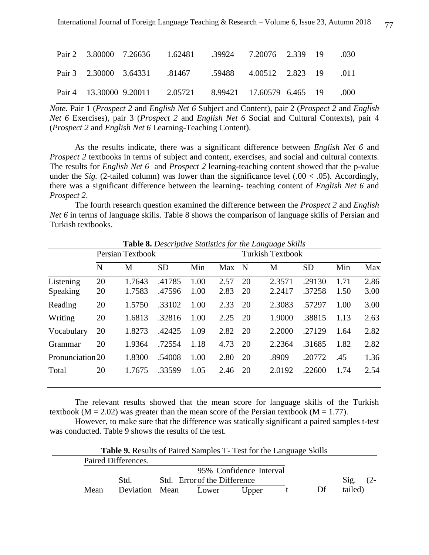|  | Pair 2 3.80000 7.26636 1.62481 .39924 7.20076 2.339 19 .030 |  |  |               |
|--|-------------------------------------------------------------|--|--|---------------|
|  | Pair 3 2.30000 3.64331 .81467 .59488 4.00512 2.823 19 .011  |  |  |               |
|  | Pair 4 13.30000 9.20011 2.05721 8.99421 17.60579 6.465 19   |  |  | $000^{\circ}$ |

*Note*. Pair 1 (*Prospect 2* and *English Net 6* Subject and Content), pair 2 (*Prospect 2* and *English Net 6* Exercises), pair 3 (*Prospect 2* and *English Net 6* Social and Cultural Contexts), pair 4 (*Prospect 2* and *English Net 6* Learning-Teaching Content).

As the results indicate, there was a significant difference between *English Net 6* and *Prospect 2* textbooks in terms of subject and content, exercises, and social and cultural contexts. The results for *English Net 6* and *Prospect 2* learning-teaching content showed that the p-value under the *Sig.* (2-tailed column) was lower than the significance level  $(.00 < .05)$ . Accordingly, there was a significant difference between the learning- teaching content of *English Net 6* and *Prospect 2*.

The fourth research question examined the difference between the *Prospect 2* and *English Net 6* in terms of language skills. Table 8 shows the comparison of language skills of Persian and Turkish textbooks.

|                       |          | Persian Textbook |                  |              |              | <b>Turkish Textbook</b> |                  |                  |              |              |  |
|-----------------------|----------|------------------|------------------|--------------|--------------|-------------------------|------------------|------------------|--------------|--------------|--|
|                       | N        | M                | <b>SD</b>        | Min          | Max          | $\mathbf N$             | М                | <b>SD</b>        | Min          | Max          |  |
| Listening<br>Speaking | 20<br>20 | 1.7643<br>1.7583 | .41785<br>.47596 | 1.00<br>1.00 | 2.57<br>2.83 | 20<br>20                | 2.3571<br>2.2417 | .29130<br>.37258 | 1.71<br>1.50 | 2.86<br>3.00 |  |
| Reading               | 20       | 1.5750           | .33102           | 1.00         | 2.33         | 20                      | 2.3083           | .57297           | 1.00         | 3.00         |  |
| Writing               | 20       | 1.6813           | .32816           | 1.00         | 2.25         | 20                      | 1.9000           | .38815           | 1.13         | 2.63         |  |
| Vocabulary            | 20       | 1.8273           | .42425           | 1.09         | 2.82         | 20                      | 2.2000           | .27129           | 1.64         | 2.82         |  |
| Grammar               | 20       | 1.9364           | .72554           | 1.18         | 4.73         | 20                      | 2.2364           | .31685           | 1.82         | 2.82         |  |
| Pronunciation 20      |          | 1.8300           | .54008           | 1.00         | 2.80         | 20                      | .8909            | .20772           | .45          | 1.36         |  |
| Total                 | 20       | 1.7675           | .33599           | 1.05         | 2.46         | 20                      | 2.0192           | .22600           | 1.74         | 2.54         |  |

**Table 8.** *Descriptive Statistics for the Language Skills*

The relevant results showed that the mean score for language skills of the Turkish textbook ( $M = 2.02$ ) was greater than the mean score of the Persian textbook ( $M = 1.77$ ).

However, to make sure that the difference was statically significant a paired samples t-test was conducted. Table 9 shows the results of the test.

|      |                     | <b>Table 9.</b> Results of Paired Samples 1 Fest for the Language Skills |                         |    |         |        |
|------|---------------------|--------------------------------------------------------------------------|-------------------------|----|---------|--------|
|      | Paired Differences. |                                                                          |                         |    |         |        |
|      |                     |                                                                          | 95% Confidence Interval |    |         |        |
|      | Std.                | Std. Error of the Difference                                             |                         |    | Sig.    | $(2 -$ |
| Mean | Deviation Mean      | Lower                                                                    | Upper                   | Df | tailed) |        |

**Table 9.** Results of Paired Samples T- Test for the Language Skills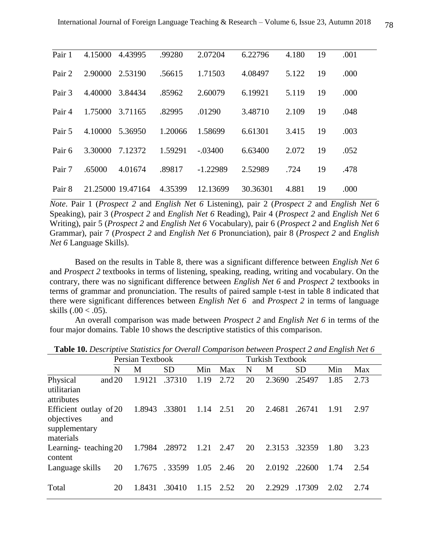| Pair 1 | 4.15000 | 4.43995           | .99280  | 2.07204    | 6.22796  | 4.180 | 19 | .001 |
|--------|---------|-------------------|---------|------------|----------|-------|----|------|
| Pair 2 | 2.90000 | 2.53190           | .56615  | 1.71503    | 4.08497  | 5.122 | 19 | .000 |
| Pair 3 | 4.40000 | 3.84434           | .85962  | 2.60079    | 6.19921  | 5.119 | 19 | .000 |
| Pair 4 | 1.75000 | 3.71165           | .82995  | .01290     | 3.48710  | 2.109 | 19 | .048 |
| Pair 5 | 4.10000 | 5.36950           | 1.20066 | 1.58699    | 6.61301  | 3.415 | 19 | .003 |
| Pair 6 | 3.30000 | 7.12372           | 1.59291 | $-.03400$  | 6.63400  | 2.072 | 19 | .052 |
| Pair 7 | .65000  | 4.01674           | .89817  | $-1.22989$ | 2.52989  | .724  | 19 | .478 |
| Pair 8 |         | 21.25000 19.47164 | 4.35399 | 12.13699   | 30.36301 | 4.881 | 19 | .000 |

*Note*. Pair 1 (*Prospect 2* and *English Net 6* Listening), pair 2 (*Prospect 2* and *English Net 6* Speaking), pair 3 (*Prospect 2* and *English Net 6* Reading), Pair 4 (*Prospect 2* and *English Net 6*  Writing), pair 5 (*Prospect 2* and *English Net 6* Vocabulary), pair 6 (*Prospect 2* and *English Net 6* Grammar), pair 7 (*Prospect 2* and *English Net 6* Pronunciation), pair 8 (*Prospect 2* and *English Net 6* Language Skills).

Based on the results in Table 8, there was a significant difference between *English Net 6* and *Prospect 2* textbooks in terms of listening, speaking, reading, writing and vocabulary. On the contrary, there was no significant difference between *English Net 6* and *Prospect 2* textbooks in terms of grammar and pronunciation. The results of paired sample t-test in table 8 indicated that there were significant differences between *English Net 6* and *Prospect 2* in terms of language skills  $(.00 < .05)$ .

An overall comparison was made between *Prospect 2* and *English Net 6* in terms of the four major domains. Table 10 shows the descriptive statistics of this comparison.

|                                                                           | Persian Textbook |        |           |      | <b>Turkish Textbook</b> |    |        |           |      |      |
|---------------------------------------------------------------------------|------------------|--------|-----------|------|-------------------------|----|--------|-----------|------|------|
|                                                                           | N                | M      | <b>SD</b> | Min  | Max                     | N  | М      | <b>SD</b> | Min  | Max  |
| Physical<br>utilitarian<br>attributes                                     | and $20$         | 1.9121 | .37310    | 1.19 | 2.72                    | 20 | 2.3690 | .25497    | 1.85 | 2.73 |
| Efficient outlay of 20<br>objectives<br>and<br>supplementary<br>materials |                  | 1.8943 | .33801    | 1.14 | 2.51                    | 20 | 2.4681 | .26741    | 1.91 | 2.97 |
| Learning-teaching 20<br>content                                           |                  | 1.7984 | .28972    | 1.21 | 2.47                    | 20 | 2.3153 | .32359    | 1.80 | 3.23 |
| Language skills                                                           | 20               | 1.7675 | .33599    | 1.05 | 2.46                    | 20 | 2.0192 | .22600    | 1.74 | 2.54 |
| Total                                                                     | 20               | 1.8431 | .30410    | 1.15 | 2.52                    | 20 | 2.2929 | .17309    | 2.02 | 2.74 |

**Table 10.** *Descriptive Statistics for Overall Comparison between Prospect 2 and English Net 6*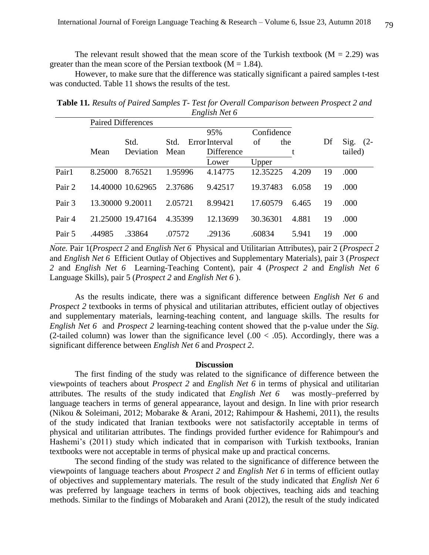The relevant result showed that the mean score of the Turkish textbook ( $M = 2.29$ ) was greater than the mean score of the Persian textbook ( $M = 1.84$ ).

However, to make sure that the difference was statically significant a paired samples t-test was conducted. Table 11 shows the results of the test.

| <b>Table 11.</b> Results of Paired Samples T- Test for Overall Comparison between Prospect 2 and |               |  |  |
|--------------------------------------------------------------------------------------------------|---------------|--|--|
|                                                                                                  | English Net 6 |  |  |
| $\mathbf{D}$ . $\mathbf{L}$ . $\mathbf{I}$ $\mathbf{D}$ . $\mathbf{C}$                           |               |  |  |

|        | Paired Differences |                   |         |                |          |            |    |            |
|--------|--------------------|-------------------|---------|----------------|----------|------------|----|------------|
|        |                    |                   |         | 95%            |          | Confidence |    |            |
|        |                    | Std.              | Std.    | Error Interval | οf       | the        | Df | Sig. $(2-$ |
|        | Mean               | Deviation         | Mean    | Difference     |          |            |    | tailed)    |
|        |                    |                   |         | Lower          | Upper    |            |    |            |
| Pair1  | 8.25000            | 8.76521           | 1.95996 | 4.14775        | 12.35225 | 4.209      | 19 | .000       |
| Pair 2 |                    | 14.40000 10.62965 | 2.37686 | 9.42517        | 19.37483 | 6.058      | 19 | .000       |
| Pair 3 | 13.30000 9.20011   |                   | 2.05721 | 8.99421        | 17.60579 | 6.465      | 19 | .000       |
| Pair 4 |                    | 21.25000 19.47164 | 4.35399 | 12.13699       | 30.36301 | 4.881      | 19 | .000       |
| Pair 5 | .44985             | .33864            | .07572  | .29136         | .60834   | 5.941      | 19 | .000       |

*Note.* Pair 1(*Prospect 2* and *English Net 6* Physical and Utilitarian Attributes), pair 2 (*Prospect 2* and *English Net 6* Efficient Outlay of Objectives and Supplementary Materials), pair 3 (*Prospect 2* and *English Net 6* Learning-Teaching Content), pair 4 (*Prospect 2* and *English Net 6*  Language Skills), pair 5 (*Prospect 2* and *English Net 6* ).

As the results indicate, there was a significant difference between *English Net 6* and *Prospect 2* textbooks in terms of physical and utilitarian attributes, efficient outlay of objectives and supplementary materials, learning-teaching content, and language skills. The results for *English Net 6* and *Prospect 2* learning-teaching content showed that the p-value under the *Sig.*  (2-tailed column) was lower than the significance level  $(.00 < .05)$ . Accordingly, there was a significant difference between *English Net 6* and *Prospect 2*.

#### **Discussion**

The first finding of the study was related to the significance of difference between the viewpoints of teachers about *Prospect 2* and *English Net 6* in terms of physical and utilitarian attributes. The results of the study indicated that *English Net 6* was mostly-preferred by language teachers in terms of general appearance, layout and design. In line with prior research (Nikou & Soleimani, 2012; Mobarake & Arani, 2012; Rahimpour & Hashemi, 2011), the results of the study indicated that Iranian textbooks were not satisfactorily acceptable in terms of physical and utilitarian attributes. The findings provided further evidence for Rahimpour's and Hashemi's (2011) study which indicated that in comparison with Turkish textbooks, Iranian textbooks were not acceptable in terms of physical make up and practical concerns.

The second finding of the study was related to the significance of difference between the viewpoints of language teachers about *Prospect 2* and *English Net 6* in terms of efficient outlay of objectives and supplementary materials. The result of the study indicated that *English Net 6*  was preferred by language teachers in terms of book objectives, teaching aids and teaching methods. Similar to the findings of Mobarakeh and Arani (2012), the result of the study indicated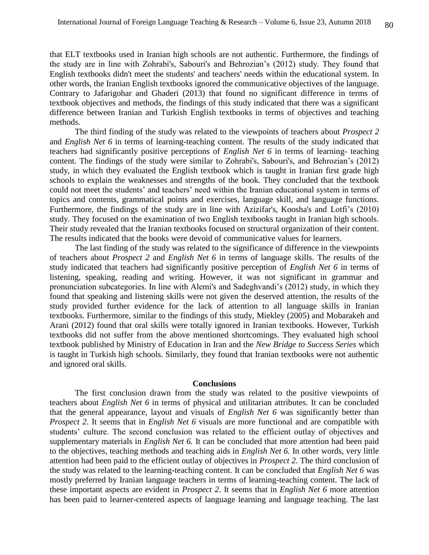that ELT textbooks used in Iranian high schools are not authentic. Furthermore, the findings of the study are in line with Zohrabi's, Sabouri's and Behrozian's (2012) study. They found that English textbooks didn't meet the students' and teachers' needs within the educational system. In other words, the Iranian English textbooks ignored the communicative objectives of the language. Contrary to Jafarigohar and Ghaderi (2013) that found no significant difference in terms of textbook objectives and methods, the findings of this study indicated that there was a significant difference between Iranian and Turkish English textbooks in terms of objectives and teaching methods.

The third finding of the study was related to the viewpoints of teachers about *Prospect 2* and *English Net 6* in terms of learning-teaching content. The results of the study indicated that teachers had significantly positive perceptions of *English Net 6* in terms of learning- teaching content. The findings of the study were similar to Zohrabi's, Sabouri's, and Behrozian's (2012) study, in which they evaluated the English textbook which is taught in Iranian first grade high schools to explain the weaknesses and strengths of the book. They concluded that the textbook could not meet the students' and teachers' need within the Iranian educational system in terms of topics and contents, grammatical points and exercises, language skill, and language functions. Furthermore, the findings of the study are in line with Azizifar's, Koosha's and Lotfi's (2010) study. They focused on the examination of two English textbooks taught in Iranian high schools. Their study revealed that the Iranian textbooks focused on structural organization of their content. The results indicated that the books were devoid of communicative values for learners.

The last finding of the study was related to the significance of difference in the viewpoints of teachers about *Prospect 2* and *English Net 6* in terms of language skills. The results of the study indicated that teachers had significantly positive perception of *English Net 6* in terms of listening, speaking, reading and writing. However, it was not significant in grammar and pronunciation subcategories. In line with Alemi's and Sadeghvandi's (2012) study, in which they found that speaking and listening skills were not given the deserved attention, the results of the study provided further evidence for the lack of attention to all language skills in Iranian textbooks. Furthermore, similar to the findings of this study, Miekley (2005) and Mobarakeh and Arani (2012) found that oral skills were totally ignored in Iranian textbooks. However, Turkish textbooks did not suffer from the above mentioned shortcomings. They evaluated high school textbook published by Ministry of Education in Iran and the *New Bridge to Success Series* which is taught in Turkish high schools. Similarly, they found that Iranian textbooks were not authentic and ignored oral skills.

#### **Conclusions**

The first conclusion drawn from the study was related to the positive viewpoints of teachers about *English Net 6* in terms of physical and utilitarian attributes. It can be concluded that the general appearance, layout and visuals of *English Net 6* was significantly better than *Prospect 2*. It seems that in *English Net 6* visuals are more functional and are compatible with students' culture. The second conclusion was related to the efficient outlay of objectives and supplementary materials in *English Net 6.* It can be concluded that more attention had been paid to the objectives, teaching methods and teaching aids in *English Net 6.* In other words, very little attention had been paid to the efficient outlay of objectives in *Prospect 2*. The third conclusion of the study was related to the learning-teaching content. It can be concluded that *English Net 6* was mostly preferred by Iranian language teachers in terms of learning-teaching content. The lack of these important aspects are evident in *Prospect 2*. It seems that in *English Net 6* more attention has been paid to learner-centered aspects of language learning and language teaching. The last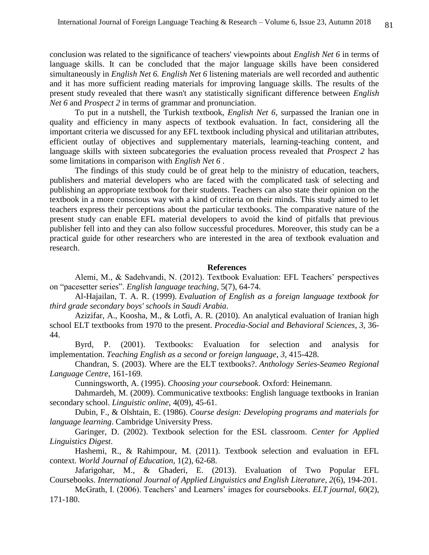conclusion was related to the significance of teachers' viewpoints about *English Net 6* in terms of language skills. It can be concluded that the major language skills have been considered simultaneously in *English Net 6. English Net 6* listening materials are well recorded and authentic and it has more sufficient reading materials for improving language skills. The results of the present study revealed that there wasn't any statistically significant difference between *English Net 6* and *Prospect 2* in terms of grammar and pronunciation.

To put in a nutshell, the Turkish textbook, *English Net 6,* surpassed the Iranian one in quality and efficiency in many aspects of textbook evaluation. In fact, considering all the important criteria we discussed for any EFL textbook including physical and utilitarian attributes, efficient outlay of objectives and supplementary materials, learning-teaching content, and language skills with sixteen subcategories the evaluation process revealed that *Prospect 2* has some limitations in comparison with *English Net 6* .

The findings of this study could be of great help to the ministry of education, teachers, publishers and material developers who are faced with the complicated task of selecting and publishing an appropriate textbook for their students. Teachers can also state their opinion on the textbook in a more conscious way with a kind of criteria on their minds. This study aimed to let teachers express their perceptions about the particular textbooks. The comparative nature of the present study can enable EFL material developers to avoid the kind of pitfalls that previous publisher fell into and they can also follow successful procedures. Moreover, this study can be a practical guide for other researchers who are interested in the area of textbook evaluation and research.

#### **References**

Alemi, M., & Sadehvandi, N. (2012). Textbook Evaluation: EFL Teachers' perspectives on "pacesetter series". *English language teaching,* 5(7), 64-74.

Al-Hajailan, T. A. R. (1999). *Evaluation of English as a foreign language textbook for third grade secondary boys' schools in Saudi Arabia*.

Azizifar, A., Koosha, M., & Lotfi, A. R. (2010). An analytical evaluation of Iranian high school ELT textbooks from 1970 to the present. *Procedia-Social and Behavioral Sciences*, *3*, 36- 44.

Byrd, P. (2001). Textbooks: Evaluation for selection and analysis for implementation. *Teaching English as a second or foreign language*, *3*, 415-428.

Chandran, S. (2003). Where are the ELT textbooks?. *Anthology Series-Seameo Regional Language Centre*, 161-169*.*

Cunningsworth, A. (1995). *Choosing your coursebook*. Oxford: Heinemann.

Dahmardeh, M. (2009). Communicative textbooks: English language textbooks in Iranian secondary school. *Linguistic online,* 4(09), 45-61.

Dubin, F., & Olshtain, E. (1986). *Course design: Developing programs and materials for language learning*. Cambridge University Press.

Garinger, D. (2002). Textbook selection for the ESL classroom. *Center for Applied Linguistics Digest*.

Hashemi, R., & Rahimpour, M. (2011). Textbook selection and evaluation in EFL context. *World Journal of Education*, 1(2), 62-68.

Jafarigohar, M., & Ghaderi, E. (2013). Evaluation of Two Popular EFL Coursebooks. *International Journal of Applied Linguistics and English Literature*, *2*(6), 194-201.

McGrath, I. (2006). Teachers' and Learners' images for coursebooks. *ELT journal,* 60(2), 171-180.